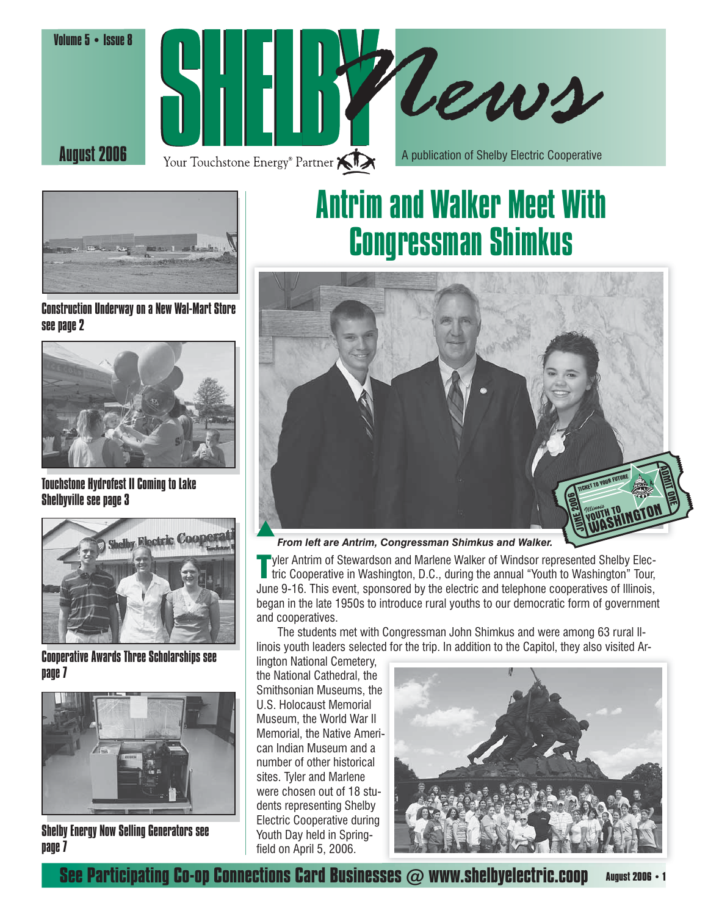





Construction Underway on a New Wal-Mart Store see page 2



Touchstone Hydrofest II Coming to Lake Shelbyville see page 3



Cooperative Awards Three Scholarships see page 7



Shelby Energy Now Selling Generators see page 7

# Antrim and Walker Meet With Congressman Shimkus



*From left are Antrim, Congressman Shimkus and Walker.*

Tyler Antrim of Stewardson and Marlene Walker of Windsor represented Shelby Electric Cooperative in Washington, D.C., during the annual "Youth to Washington" Tour, June 9-16. This event, sponsored by the electric and telephone cooperatives of Illinois, began in the late 1950s to introduce rural youths to our democratic form of government and cooperatives.

 The students met with Congressman John Shimkus and were among 63 rural Illinois youth leaders selected for the trip. In addition to the Capitol, they also visited Ar-

lington National Cemetery, the National Cathedral, the Smithsonian Museums, the U.S. Holocaust Memorial Museum, the World War II Memorial, the Native American Indian Museum and a number of other historical sites. Tyler and Marlene were chosen out of 18 students representing Shelby Electric Cooperative during Youth Day held in Springfield on April 5, 2006.



**August 2006 • 1 See Participating Co-op Connections Card Businesses @ www.shelbyelectric.coop**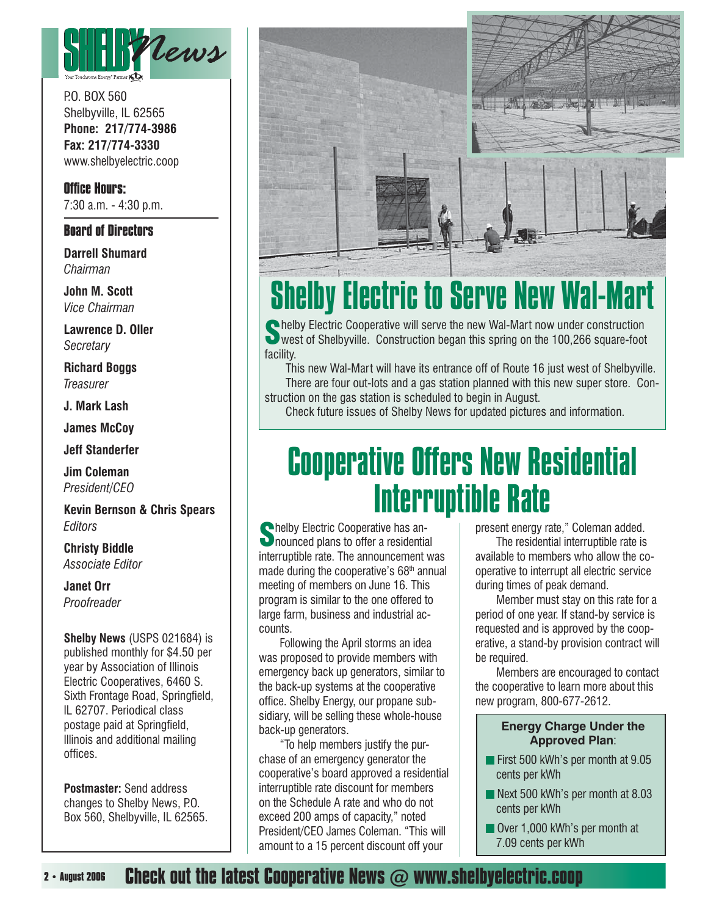

P.O. BOX 560 Shelbyville, IL 62565 **Phone: 217/774-3986 Fax: 217/774-3330** www.shelbyelectric.coop

**Office Hours:** 7:30 a.m. - 4:30 p.m.

#### **Board of Directors**

**Darrell Shumard** *Chairman*

**John M. Scott** *Vice Chairman*

**Lawrence D. Oller** *Secretary*

**Richard Boggs** *Treasurer*

**J. Mark Lash**

**James McCoy**

**Jeff Standerfer**

**Jim Coleman** *President/CEO*

**Kevin Bernson & Chris Spears** *Editors*

**Christy Biddle** *Associate Editor*

**Janet Orr** *Proofreader*

**Shelby News** (USPS 021684) is published monthly for \$4.50 per year by Association of Illinois Electric Cooperatives, 6460 S. Sixth Frontage Road, Springfield, IL 62707. Periodical class postage paid at Springfield, Illinois and additional mailing offices.

**Postmaster:** Send address changes to Shelby News, P.O. Box 560, Shelbyville, IL 62565.



# Shelby Electric to Serve New Wal-Mart

**Shelby Electric Cooperative will serve the new Wal-Mart now under construction**<br>west of Shelbyville. Construction began this spring on the 100,266 square-foot facility.

 This new Wal-Mart will have its entrance off of Route 16 just west of Shelbyville. There are four out-lots and a gas station planned with this new super store. Construction on the gas station is scheduled to begin in August.

Check future issues of Shelby News for updated pictures and information.

### Cooperative Offers New Residential Interruptible Rate

**Shelby Electric Cooperative has an-**<br>nounced plans to offer a residential interruptible rate. The announcement was made during the cooperative's  $68<sup>th</sup>$  annual meeting of members on June 16. This program is similar to the one offered to large farm, business and industrial accounts.

 Following the April storms an idea was proposed to provide members with emergency back up generators, similar to the back-up systems at the cooperative office. Shelby Energy, our propane subsidiary, will be selling these whole-house back-up generators.

 "To help members justify the purchase of an emergency generator the cooperative's board approved a residential interruptible rate discount for members on the Schedule A rate and who do not exceed 200 amps of capacity," noted President/CEO James Coleman. "This will amount to a 15 percent discount off your

present energy rate," Coleman added.

 The residential interruptible rate is available to members who allow the cooperative to interrupt all electric service during times of peak demand.

 Member must stay on this rate for a period of one year. If stand-by service is requested and is approved by the cooperative, a stand-by provision contract will be required.

Members are encouraged to contact the cooperative to learn more about this new program, 800-677-2612.

#### **Energy Charge Under the Approved Plan**:

- **First 500 kWh's per month at 9.05** cents per kWh
- Next 500 kWh's per month at 8.03 cents per kWh
- Over 1,000 kWh's per month at 7.09 cents per kWh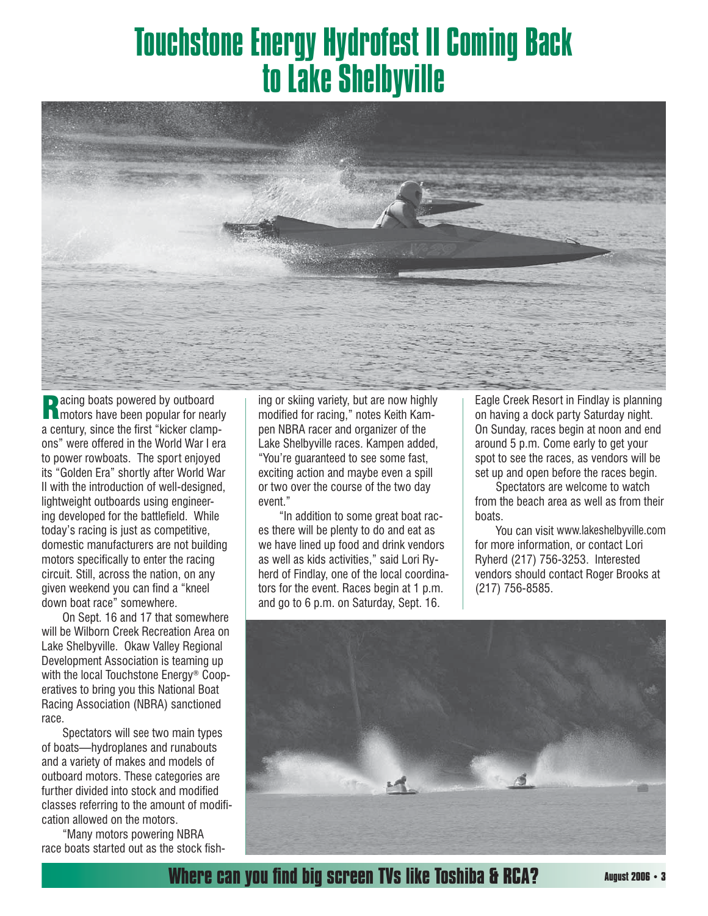# Touchstone Energy Hydrofest II Coming Back to Lake Shelbyville



**Racing boats powered by outboard Medicial Report of Property**<br>**Racing boats popular for nearly** a century, since the first "kicker clampons" were offered in the World War I era to power rowboats. The sport enjoyed its "Golden Era" shortly after World War II with the introduction of well-designed, lightweight outboards using engineering developed for the battlefield. While today's racing is just as competitive, domestic manufacturers are not building motors specifically to enter the racing circuit. Still, across the nation, on any given weekend you can find a "kneel down boat race" somewhere.

 On Sept. 16 and 17 that somewhere will be Wilborn Creek Recreation Area on Lake Shelbyville. Okaw Valley Regional Development Association is teaming up with the local Touchstone Energy<sup>®</sup> Cooperatives to bring you this National Boat Racing Association (NBRA) sanctioned race.

 Spectators will see two main types of boats—hydroplanes and runabouts and a variety of makes and models of outboard motors. These categories are further divided into stock and modified classes referring to the amount of modification allowed on the motors.

 "Many motors powering NBRA race boats started out as the stock fishing or skiing variety, but are now highly modified for racing," notes Keith Kampen NBRA racer and organizer of the Lake Shelbyville races. Kampen added, "You're guaranteed to see some fast, exciting action and maybe even a spill or two over the course of the two day event"

 "In addition to some great boat races there will be plenty to do and eat as we have lined up food and drink vendors as well as kids activities," said Lori Ryherd of Findlay, one of the local coordinators for the event. Races begin at 1 p.m. and go to 6 p.m. on Saturday, Sept. 16.

Eagle Creek Resort in Findlay is planning on having a dock party Saturday night. On Sunday, races begin at noon and end around 5 p.m. Come early to get your spot to see the races, as vendors will be set up and open before the races begin.

 Spectators are welcome to watch from the beach area as well as from their boats.

 You can visit www.lakeshelbyville.com for more information, or contact Lori Ryherd (217) 756-3253. Interested vendors should contact Roger Brooks at (217) 756-8585.



**Where can you find big screen TVs like Toshiba & RCA?** August 2006 · 3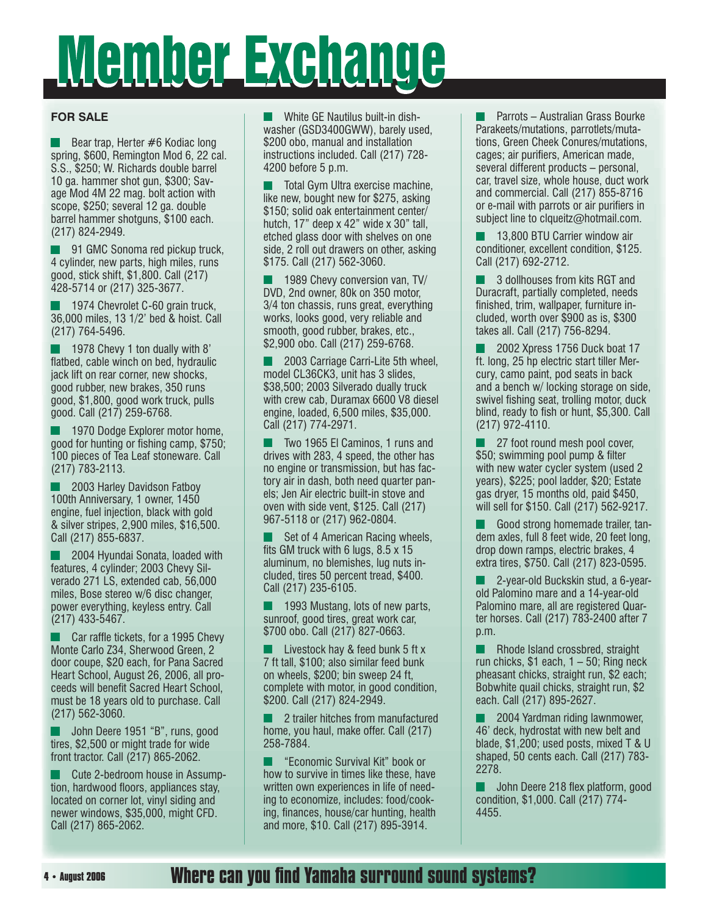# Member Exchange

#### **FOR SALE**

 $\blacksquare$  Bear trap, Herter #6 Kodiac long spring, \$600, Remington Mod 6, 22 cal. S.S., \$250; W. Richards double barrel 10 ga. hammer shot gun, \$300; Savage Mod 4M 22 mag. bolt action with scope, \$250; several 12 ga. double barrel hammer shotguns, \$100 each. (217) 824-2949.

**91 GMC Sonoma red pickup truck,** 4 cylinder, new parts, high miles, runs good, stick shift, \$1,800. Call (217) 428-5714 or (217) 325-3677.

 1974 Chevrolet C-60 grain truck, 36,000 miles, 13 1/2' bed & hoist. Call (217) 764-5496.

 1978 Chevy 1 ton dually with 8' flatbed, cable winch on bed, hydraulic jack lift on rear corner, new shocks, good rubber, new brakes, 350 runs good, \$1,800, good work truck, pulls good. Call (217) 259-6768.

**1970 Dodge Explorer motor home,** good for hunting or fishing camp, \$750; 100 pieces of Tea Leaf stoneware. Call (217) 783-2113.

 2003 Harley Davidson Fatboy 100th Anniversary, 1 owner, 1450 engine, fuel injection, black with gold & silver stripes, 2,900 miles, \$16,500. Call (217) 855-6837.

 2004 Hyundai Sonata, loaded with features, 4 cylinder; 2003 Chevy Silverado 271 LS, extended cab, 56,000 miles, Bose stereo w/6 disc changer, power everything, keyless entry. Call (217) 433-5467.

 $\blacksquare$  Car raffle tickets, for a 1995 Chevy Monte Carlo Z34, Sherwood Green, 2 door coupe, \$20 each, for Pana Sacred Heart School, August 26, 2006, all proceeds will benefit Sacred Heart School, must be 18 years old to purchase. Call (217) 562-3060.

 John Deere 1951 "B", runs, good tires, \$2,500 or might trade for wide front tractor. Call (217) 865-2062.

 Cute 2-bedroom house in Assumption, hardwood floors, appliances stay, located on corner lot, vinyl siding and newer windows, \$35,000, might CFD. Call (217) 865-2062.

**Now White GE Nautilus built-in dish**washer (GSD3400GWW), barely used, \$200 obo, manual and installation instructions included. Call (217) 728- 4200 before 5 p.m.

 Total Gym Ultra exercise machine, like new, bought new for \$275, asking \$150; solid oak entertainment center/ hutch, 17" deep x 42" wide x 30" tall, etched glass door with shelves on one side, 2 roll out drawers on other, asking \$175. Call (217) 562-3060.

 1989 Chevy conversion van, TV/ DVD, 2nd owner, 80k on 350 motor, 3/4 ton chassis, runs great, everything works, looks good, very reliable and smooth, good rubber, brakes, etc., \$2,900 obo. Call (217) 259-6768.

 2003 Carriage Carri-Lite 5th wheel, model CL36CK3, unit has 3 slides, \$38,500; 2003 Silverado dually truck with crew cab, Duramax 6600 V8 diesel engine, loaded, 6,500 miles, \$35,000. Call (217) 774-2971.

**T** Two 1965 El Caminos, 1 runs and drives with 283, 4 speed, the other has no engine or transmission, but has factory air in dash, both need quarter panels; Jen Air electric built-in stove and oven with side vent, \$125. Call (217) 967-5118 or (217) 962-0804.

 Set of 4 American Racing wheels, fits GM truck with 6 lugs,  $8.5 \times 15$ aluminum, no blemishes, lug nuts included, tires 50 percent tread, \$400. Call (217) 235-6105.

 1993 Mustang, lots of new parts, sunroof, good tires, great work car, \$700 obo. Call (217) 827-0663.

 Livestock hay & feed bunk 5 ft x 7 ft tall, \$100; also similar feed bunk on wheels, \$200; bin sweep 24 ft, complete with motor, in good condition, \$200. Call (217) 824-2949.

 2 trailer hitches from manufactured home, you haul, make offer. Call (217) 258-7884.

 "Economic Survival Kit" book or how to survive in times like these, have written own experiences in life of needing to economize, includes: food/cooking, finances, house/car hunting, health and more, \$10. Call (217) 895-3914.

 Parrots – Australian Grass Bourke Parakeets/mutations, parrotlets/mutations, Green Cheek Conures/mutations, cages; air purifiers, American made, several different products – personal, car, travel size, whole house, duct work and commercial. Call (217) 855-8716 or e-mail with parrots or air purifiers in subject line to clqueitz@hotmail.com.

 13,800 BTU Carrier window air conditioner, excellent condition, \$125. Call (217) 692-2712.

 3 dollhouses from kits RGT and Duracraft, partially completed, needs finished, trim, wallpaper, furniture included, worth over \$900 as is, \$300 takes all. Call (217) 756-8294.

 2002 Xpress 1756 Duck boat 17 ft. long, 25 hp electric start tiller Mercury, camo paint, pod seats in back and a bench w/ locking storage on side, swivel fishing seat, trolling motor, duck blind, ready to fish or hunt, \$5,300. Call (217) 972-4110.

27 foot round mesh pool cover, \$50; swimming pool pump & filter with new water cycler system (used 2 years), \$225; pool ladder, \$20; Estate gas dryer, 15 months old, paid \$450, will sell for \$150. Call (217) 562-9217.

 Good strong homemade trailer, tandem axles, full 8 feet wide, 20 feet long, drop down ramps, electric brakes, 4 extra tires, \$750. Call (217) 823-0595.

 2-year-old Buckskin stud, a 6-yearold Palomino mare and a 14-year-old Palomino mare, all are registered Quarter horses. Call (217) 783-2400 after 7 p.m.

 Rhode Island crossbred, straight run chicks, \$1 each,  $1 - 50$ ; Ring neck pheasant chicks, straight run, \$2 each; Bobwhite quail chicks, straight run, \$2 each. Call (217) 895-2627.

 2004 Yardman riding lawnmower, 46' deck, hydrostat with new belt and blade, \$1,200; used posts, mixed T & U shaped, 50 cents each. Call (217) 783- 2278.

John Deere 218 flex platform, good condition, \$1,000. Call (217) 774- 4455.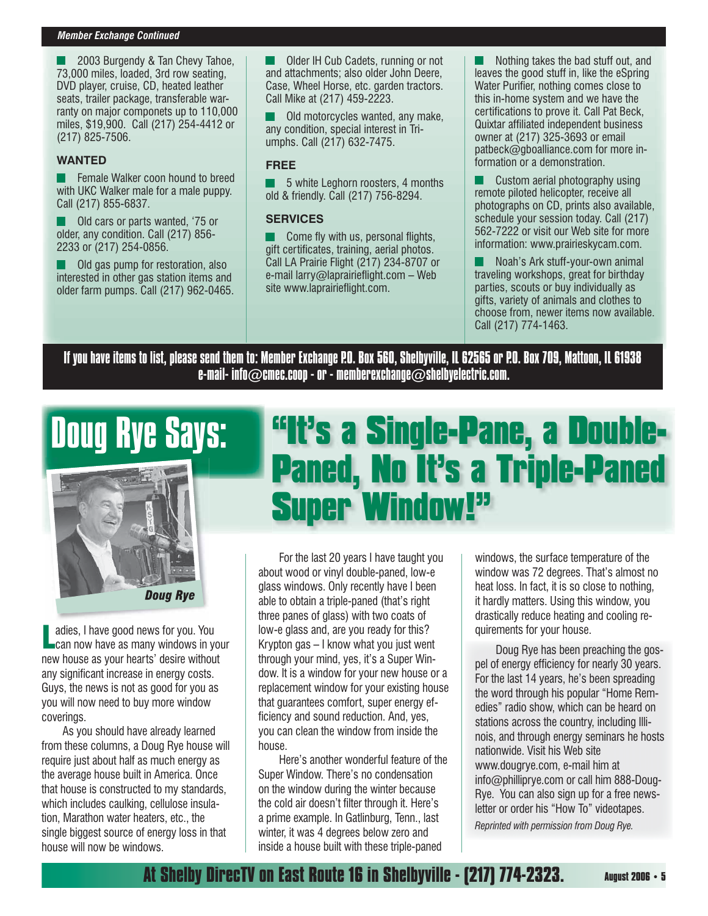#### *Member Exchange Continued*

 2003 Burgendy & Tan Chevy Tahoe, 73,000 miles, loaded, 3rd row seating, DVD player, cruise, CD, heated leather seats, trailer package, transferable warranty on major componets up to 110,000 miles, \$19,900. Call (217) 254-4412 or (217) 825-7506.

#### **WANTED**

 Female Walker coon hound to breed with UKC Walker male for a male puppy. Call (217) 855-6837.

 Old cars or parts wanted, '75 or older, any condition. Call (217) 856- 2233 or (217) 254-0856.

 Old gas pump for restoration, also interested in other gas station items and older farm pumps. Call (217) 962-0465.

 Older IH Cub Cadets, running or not and attachments; also older John Deere, Case, Wheel Horse, etc. garden tractors. Call Mike at (217) 459-2223.

 Old motorcycles wanted, any make, any condition, special interest in Triumphs. Call (217) 632-7475.

#### **FREE**

 5 white Leghorn roosters, 4 months old & friendly. Call (217) 756-8294.

#### **SERVICES**

Come fly with us, personal flights, gift certificates, training, aerial photos. Call LA Prairie Flight (217) 234-8707 or e-mail larry@laprairieflight.com – Web site www.laprairieflight.com.

 Nothing takes the bad stuff out, and leaves the good stuff in, like the eSpring Water Purifier, nothing comes close to this in-home system and we have the certifications to prove it. Call Pat Beck, Quixtar affiliated independent business owner at (217) 325-3693 or email patbeck@gboalliance.com for more information or a demonstration.

 Custom aerial photography using remote piloted helicopter, receive all photographs on CD, prints also available, schedule your session today. Call (217) 562-7222 or visit our Web site for more information: www.prairieskycam.com.

 Noah's Ark stuff-your-own animal traveling workshops, great for birthday parties, scouts or buy individually as gifts, variety of animals and clothes to choose from, newer items now available. Call (217) 774-1463.

If you have items to list, please send them to: Member Exchange P.O. Box 560, Shelbyville, IL 62565 or P.O. Box 709, Mattoon, IL 61938 e-mail- info $\oslash$ cmec.coop - or - memberexchange $\oslash$ shelbyelectric.com.



L adies, I have good news for you. You can now have as many windows in your new house as your hearts' desire without any significant increase in energy costs. Guys, the news is not as good for you as you will now need to buy more window coverings.

 As you should have already learned from these columns, a Doug Rye house will require just about half as much energy as the average house built in America. Once that house is constructed to my standards, which includes caulking, cellulose insulation, Marathon water heaters, etc., the single biggest source of energy loss in that house will now be windows.

### Doug Rye Says: "It's a Single-Pane, a Double-Paned, No It's a Triple-Paned Super Window!"

 For the last 20 years I have taught you about wood or vinyl double-paned, low-e glass windows. Only recently have I been able to obtain a triple-paned (that's right three panes of glass) with two coats of low-e glass and, are you ready for this? Krypton gas – I know what you just went through your mind, yes, it's a Super Window. It is a window for your new house or a replacement window for your existing house that guarantees comfort, super energy efficiency and sound reduction. And, yes, you can clean the window from inside the house.

 Here's another wonderful feature of the Super Window. There's no condensation on the window during the winter because the cold air doesn't filter through it. Here's a prime example. In Gatlinburg, Tenn., last winter, it was 4 degrees below zero and inside a house built with these triple-paned

windows, the surface temperature of the window was 72 degrees. That's almost no heat loss. In fact, it is so close to nothing, it hardly matters. Using this window, you drastically reduce heating and cooling requirements for your house.

 Doug Rye has been preaching the gospel of energy efficiency for nearly 30 years. For the last 14 years, he's been spreading the word through his popular "Home Remedies" radio show, which can be heard on stations across the country, including Illinois, and through energy seminars he hosts nationwide. Visit his Web site www.dougrye.com, e-mail him at info@philliprye.com or call him 888-Doug-Rye. You can also sign up for a free newsletter or order his "How To" videotapes.

*Reprinted with permission from Doug Rye.*

At Shelby DirecTV on East Route 16 in Shelbyville - [217] 774-2323. August 2006 · 5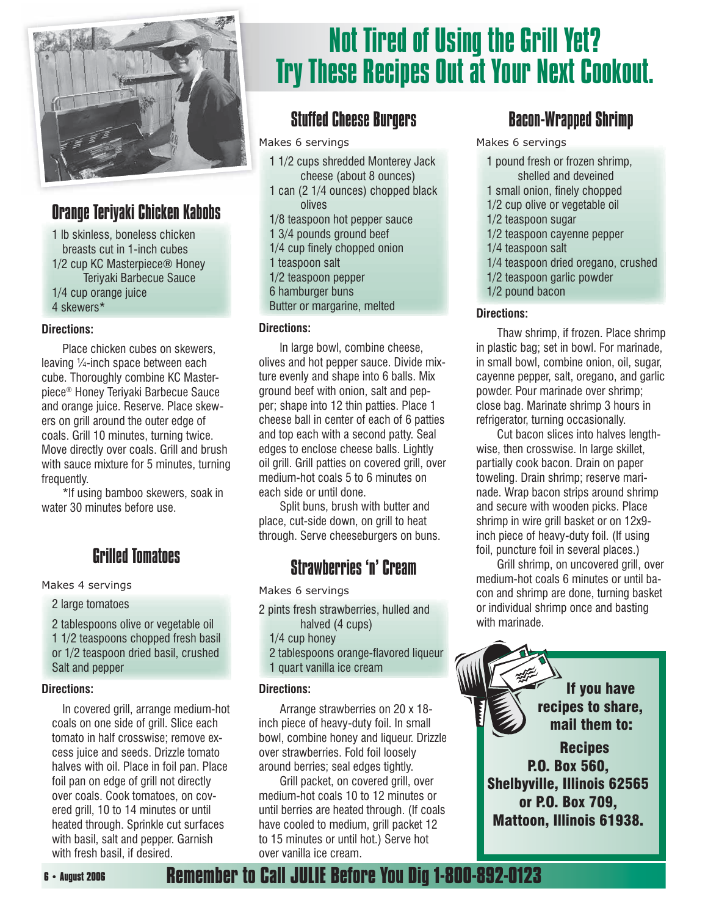

### Orange Teriyaki Chicken Kabobs

1 lb skinless, boneless chicken breasts cut in 1-inch cubes 1/2 cup KC Masterpiece® Honey Teriyaki Barbecue Sauce 1/4 cup orange juice 4 skewers\*

#### **Directions:**

 Place chicken cubes on skewers, leaving ¼-inch space between each cube. Thoroughly combine KC Masterpiece® Honey Teriyaki Barbecue Sauce and orange juice. Reserve. Place skewers on grill around the outer edge of coals. Grill 10 minutes, turning twice. Move directly over coals. Grill and brush with sauce mixture for 5 minutes, turning frequently.

 \*If using bamboo skewers, soak in water 30 minutes before use.

### Grilled Tomatoes

#### Makes 4 servings

#### 2 large tomatoes

2 tablespoons olive or vegetable oil 1 1/2 teaspoons chopped fresh basil or 1/2 teaspoon dried basil, crushed Salt and pepper

#### **Directions:**

 In covered grill, arrange medium-hot coals on one side of grill. Slice each tomato in half crosswise; remove excess juice and seeds. Drizzle tomato halves with oil. Place in foil pan. Place foil pan on edge of grill not directly over coals. Cook tomatoes, on covered grill, 10 to 14 minutes or until heated through. Sprinkle cut surfaces with basil, salt and pepper. Garnish with fresh basil, if desired.

### Not Tired of Using the Grill Yet? Try These Recipes Out at Your Next Cookout.

### Stuffed Cheese Burgers

Makes 6 servings

- 1 1/2 cups shredded Monterey Jack cheese (about 8 ounces)
- 1 can (2 1/4 ounces) chopped black olives
- 1/8 teaspoon hot pepper sauce
- 1 3/4 pounds ground beef 1/4 cup finely chopped onion
- 1 teaspoon salt
- 
- 1/2 teaspoon pepper
- 6 hamburger buns
- Butter or margarine, melted

#### **Directions:**

 In large bowl, combine cheese, olives and hot pepper sauce. Divide mixture evenly and shape into 6 balls. Mix ground beef with onion, salt and pepper; shape into 12 thin patties. Place 1 cheese ball in center of each of 6 patties and top each with a second patty. Seal edges to enclose cheese balls. Lightly oil grill. Grill patties on covered grill, over medium-hot coals 5 to 6 minutes on each side or until done.

 Split buns, brush with butter and place, cut-side down, on grill to heat through. Serve cheeseburgers on buns.

### Strawberries 'n' Cream

Makes 6 servings

- 2 pints fresh strawberries, hulled and halved (4 cups)
	- 1/4 cup honey
	- 2 tablespoons orange-flavored liqueur
- 1 quart vanilla ice cream

#### **Directions:**

 Arrange strawberries on 20 x 18 inch piece of heavy-duty foil. In small bowl, combine honey and liqueur. Drizzle over strawberries. Fold foil loosely around berries; seal edges tightly.

 Grill packet, on covered grill, over medium-hot coals 10 to 12 minutes or until berries are heated through. (If coals have cooled to medium, grill packet 12 to 15 minutes or until hot.) Serve hot over vanilla ice cream.

### Bacon-Wrapped Shrimp

Makes 6 servings

1 pound fresh or frozen shrimp, shelled and deveined 1 small onion, finely chopped 1/2 cup olive or vegetable oil 1/2 teaspoon sugar 1/2 teaspoon cayenne pepper 1/4 teaspoon salt 1/4 teaspoon dried oregano, crushed 1/2 teaspoon garlic powder 1/2 pound bacon

#### **Directions:**

 Thaw shrimp, if frozen. Place shrimp in plastic bag; set in bowl. For marinade, in small bowl, combine onion, oil, sugar, cayenne pepper, salt, oregano, and garlic powder. Pour marinade over shrimp; close bag. Marinate shrimp 3 hours in refrigerator, turning occasionally.

 Cut bacon slices into halves lengthwise, then crosswise. In large skillet, partially cook bacon. Drain on paper toweling. Drain shrimp; reserve marinade. Wrap bacon strips around shrimp and secure with wooden picks. Place shrimp in wire grill basket or on 12x9 inch piece of heavy-duty foil. (If using foil, puncture foil in several places.)

 Grill shrimp, on uncovered grill, over medium-hot coals 6 minutes or until bacon and shrimp are done, turning basket or individual shrimp once and basting with marinade.



**Recipes** P.O. Box 560, Shelbyville, Illinois 62565 or P.O. Box 709, Mattoon, Illinois 61938.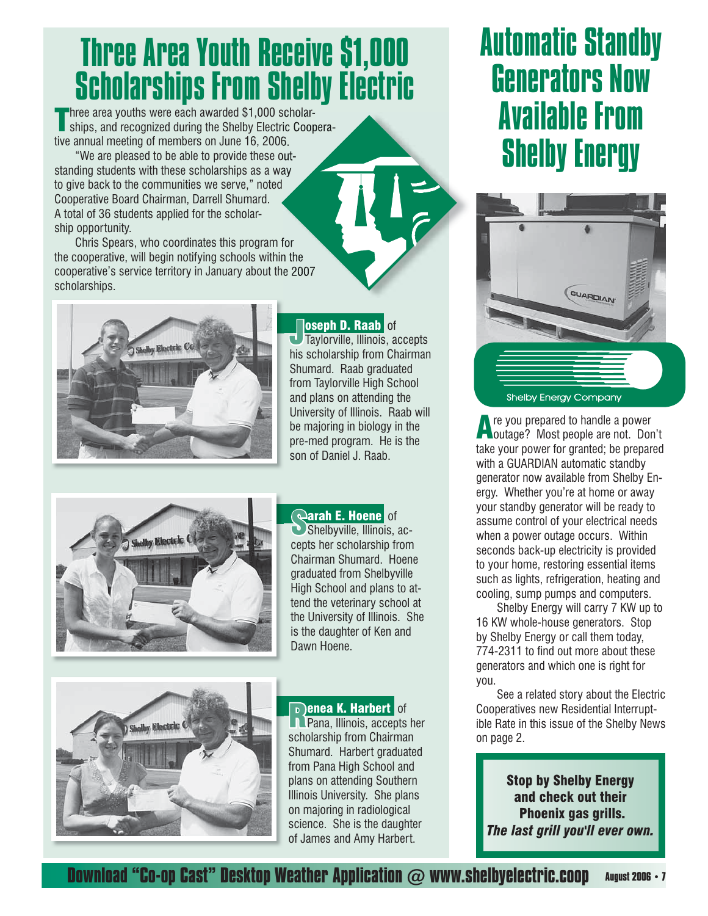# Three Area Youth Receive \$1,000 Scholarships From Shelby Electric

Three area youths were each awarded \$1,000 scholar-<br>ships, and recognized during the Shelby Electric Cooperative annual meeting of members on June 16, 2006.

 "We are pleased to be able to provide these outstanding students with these scholarships as a way to give back to the communities we serve," noted Cooperative Board Chairman, Darrell Shumard. A total of 36 students applied for the scholarship opportunity.

 Chris Spears, who coordinates this program for the cooperative, will begin notifying schools within the cooperative's service territory in January about the 2007 scholarships.



**Joseph D. Raab** of<br>Taylorville, Illinois, accepts his scholarship from Chairman Shumard. Raab graduated from Taylorville High School and plans on attending the University of Illinois. Raab will be majoring in biology in the pre-med program. He is the son of Daniel J. Raab.



Shelbyville, Illinois, ac-<br>
Shelbyville, Illinois, accepts her scholarship from Chairman Shumard. Hoene graduated from Shelbyville High School and plans to attend the veterinary school at the University of Illinois. She is the daughter of Ken and Dawn Hoene.



**B** enea K. Harbert of<br>**Pana, Illinois, accepts her** scholarship from Chairman Shumard. Harbert graduated from Pana High School and plans on attending Southern Illinois University. She plans on majoring in radiological science. She is the daughter of James and Amy Harbert.

## Automatic Standby Generators Now Available From Shelby Energy



Are you prepared to handle a power outage? Most people are not. Don't take your power for granted; be prepared with a GUARDIAN automatic standby generator now available from Shelby Energy. Whether you're at home or away your standby generator will be ready to assume control of your electrical needs when a power outage occurs. Within seconds back-up electricity is provided to your home, restoring essential items such as lights, refrigeration, heating and cooling, sump pumps and computers.

 Shelby Energy will carry 7 KW up to 16 KW whole-house generators. Stop by Shelby Energy or call them today, 774-2311 to find out more about these generators and which one is right for you.

 See a related story about the Electric Cooperatives new Residential Interruptible Rate in this issue of the Shelby News on page 2.

Stop by Shelby Energy and check out their Phoenix gas grills. *The last grill you'll ever own.*

**August 2006 • 7 Download "Co-op Cast" Desktop Weather Application @ www.shelbyelectric.coop**